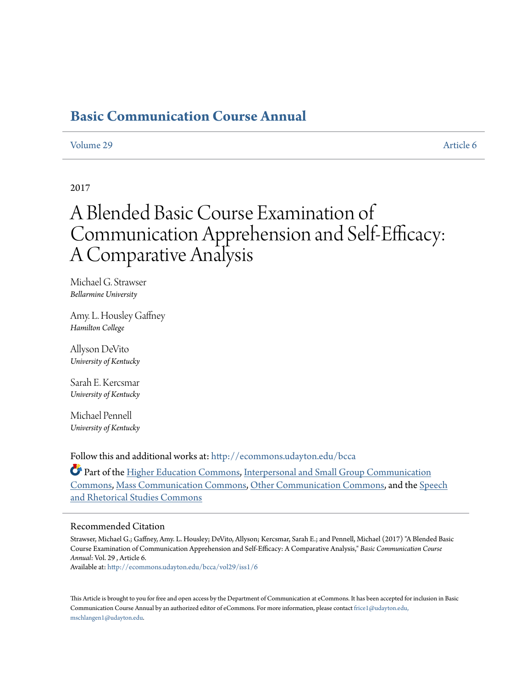# **[Basic Communication Course Annual](http://ecommons.udayton.edu/bcca?utm_source=ecommons.udayton.edu%2Fbcca%2Fvol29%2Fiss1%2F6&utm_medium=PDF&utm_campaign=PDFCoverPages)**

# [Volume 29](http://ecommons.udayton.edu/bcca/vol29?utm_source=ecommons.udayton.edu%2Fbcca%2Fvol29%2Fiss1%2F6&utm_medium=PDF&utm_campaign=PDFCoverPages) [Article 6](http://ecommons.udayton.edu/bcca/vol29/iss1/6?utm_source=ecommons.udayton.edu%2Fbcca%2Fvol29%2Fiss1%2F6&utm_medium=PDF&utm_campaign=PDFCoverPages)

# 2017

# A Blended Basic Course Examination of Communication Apprehension and Self-Efficacy: A Comparative Analysis

Michael G. Strawser *Bellarmine University*

Amy. L. Housley Gaffney *Hamilton College*

Allyson DeVito *University of Kentucky*

Sarah E. Kercsmar *University of Kentucky*

Michael Pennell *University of Kentucky*

Follow this and additional works at: [http://ecommons.udayton.edu/bcca](http://ecommons.udayton.edu/bcca?utm_source=ecommons.udayton.edu%2Fbcca%2Fvol29%2Fiss1%2F6&utm_medium=PDF&utm_campaign=PDFCoverPages)

Part of the [Higher Education Commons](http://network.bepress.com/hgg/discipline/1245?utm_source=ecommons.udayton.edu%2Fbcca%2Fvol29%2Fiss1%2F6&utm_medium=PDF&utm_campaign=PDFCoverPages), [Interpersonal and Small Group Communication](http://network.bepress.com/hgg/discipline/332?utm_source=ecommons.udayton.edu%2Fbcca%2Fvol29%2Fiss1%2F6&utm_medium=PDF&utm_campaign=PDFCoverPages) [Commons,](http://network.bepress.com/hgg/discipline/332?utm_source=ecommons.udayton.edu%2Fbcca%2Fvol29%2Fiss1%2F6&utm_medium=PDF&utm_campaign=PDFCoverPages) [Mass Communication Commons,](http://network.bepress.com/hgg/discipline/334?utm_source=ecommons.udayton.edu%2Fbcca%2Fvol29%2Fiss1%2F6&utm_medium=PDF&utm_campaign=PDFCoverPages) [Other Communication Commons](http://network.bepress.com/hgg/discipline/339?utm_source=ecommons.udayton.edu%2Fbcca%2Fvol29%2Fiss1%2F6&utm_medium=PDF&utm_campaign=PDFCoverPages), and the [Speech](http://network.bepress.com/hgg/discipline/338?utm_source=ecommons.udayton.edu%2Fbcca%2Fvol29%2Fiss1%2F6&utm_medium=PDF&utm_campaign=PDFCoverPages) [and Rhetorical Studies Commons](http://network.bepress.com/hgg/discipline/338?utm_source=ecommons.udayton.edu%2Fbcca%2Fvol29%2Fiss1%2F6&utm_medium=PDF&utm_campaign=PDFCoverPages)

#### Recommended Citation

Strawser, Michael G.; Gaffney, Amy. L. Housley; DeVito, Allyson; Kercsmar, Sarah E.; and Pennell, Michael (2017) "A Blended Basic Course Examination of Communication Apprehension and Self-Efficacy: A Comparative Analysis," *Basic Communication Course Annual*: Vol. 29 , Article 6.

Available at: [http://ecommons.udayton.edu/bcca/vol29/iss1/6](http://ecommons.udayton.edu/bcca/vol29/iss1/6?utm_source=ecommons.udayton.edu%2Fbcca%2Fvol29%2Fiss1%2F6&utm_medium=PDF&utm_campaign=PDFCoverPages)

This Article is brought to you for free and open access by the Department of Communication at eCommons. It has been accepted for inclusion in Basic Communication Course Annual by an authorized editor of eCommons. For more information, please contact [frice1@udayton.edu,](mailto:frice1@udayton.edu,%20mschlangen1@udayton.edu) [mschlangen1@udayton.edu.](mailto:frice1@udayton.edu,%20mschlangen1@udayton.edu)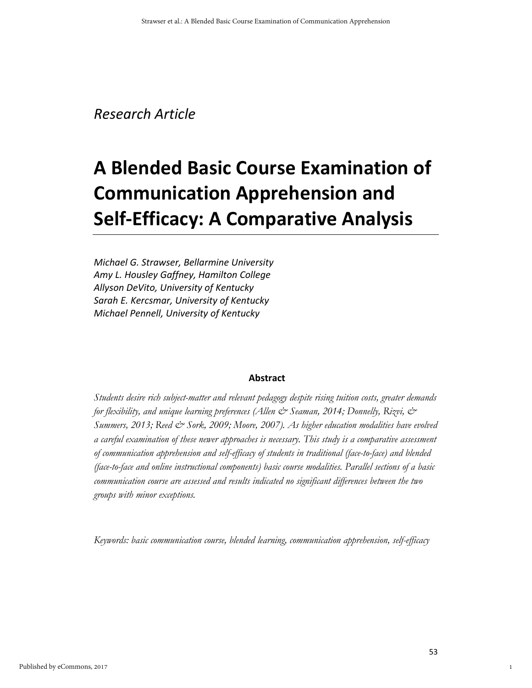# *Research Article*

# **A Blended Basic Course Examination of Communication Apprehension and Self-Efficacy: A Comparative Analysis**

*Michael G. Strawser, Bellarmine University Amy L. Housley Gaffney, Hamilton College Allyson DeVito, University of Kentucky Sarah E. Kercsmar, University of Kentucky Michael Pennell, University of Kentucky*

# **Abstract**

*Students desire rich subject-matter and relevant pedagogy despite rising tuition costs, greater demands for flexibility, and unique learning preferences (Allen & Seaman, 2014; Donnelly, Rizvi, & Summers, 2013; Reed & Sork, 2009; Moore, 2007). As higher education modalities have evolved a careful examination of these newer approaches is necessary. This study is a comparative assessment of communication apprehension and self-efficacy of students in traditional (face-to-face) and blended (face-to-face and online instructional components) basic course modalities. Parallel sections of a basic communication course are assessed and results indicated no significant differences between the two groups with minor exceptions.*

*Keywords: basic communication course, blended learning, communication apprehension, self-efficacy*

1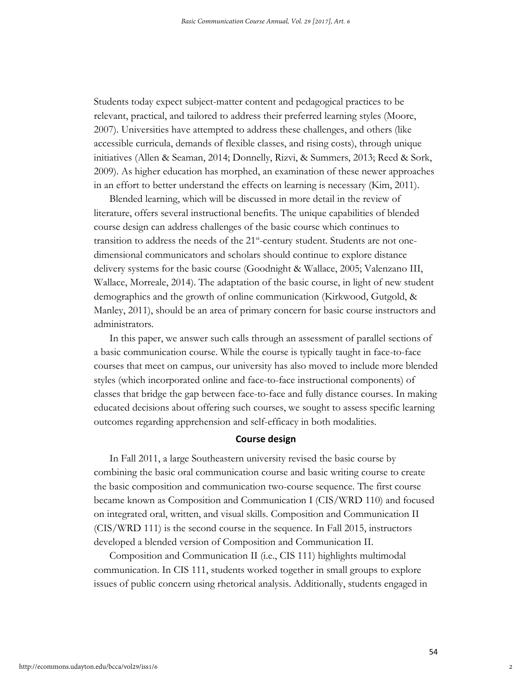Students today expect subject-matter content and pedagogical practices to be relevant, practical, and tailored to address their preferred learning styles (Moore, 2007). Universities have attempted to address these challenges, and others (like accessible curricula, demands of flexible classes, and rising costs), through unique initiatives (Allen & Seaman, 2014; Donnelly, Rizvi, & Summers, 2013; Reed & Sork, 2009). As higher education has morphed, an examination of these newer approaches in an effort to better understand the effects on learning is necessary (Kim, 2011).

Blended learning, which will be discussed in more detail in the review of literature, offers several instructional benefits. The unique capabilities of blended course design can address challenges of the basic course which continues to transition to address the needs of the 21<sup>st</sup>-century student. Students are not onedimensional communicators and scholars should continue to explore distance delivery systems for the basic course (Goodnight & Wallace, 2005; Valenzano III, Wallace, Morreale, 2014). The adaptation of the basic course, in light of new student demographics and the growth of online communication (Kirkwood, Gutgold, & Manley, 2011), should be an area of primary concern for basic course instructors and administrators.

In this paper, we answer such calls through an assessment of parallel sections of a basic communication course. While the course is typically taught in face-to-face courses that meet on campus, our university has also moved to include more blended styles (which incorporated online and face-to-face instructional components) of classes that bridge the gap between face-to-face and fully distance courses. In making educated decisions about offering such courses, we sought to assess specific learning outcomes regarding apprehension and self-efficacy in both modalities.

# **Course design**

In Fall 2011, a large Southeastern university revised the basic course by combining the basic oral communication course and basic writing course to create the basic composition and communication two-course sequence. The first course became known as Composition and Communication I (CIS/WRD 110) and focused on integrated oral, written, and visual skills. Composition and Communication II (CIS/WRD 111) is the second course in the sequence. In Fall 2015, instructors developed a blended version of Composition and Communication II.

Composition and Communication II (i.e., CIS 111) highlights multimodal communication. In CIS 111, students worked together in small groups to explore issues of public concern using rhetorical analysis. Additionally, students engaged in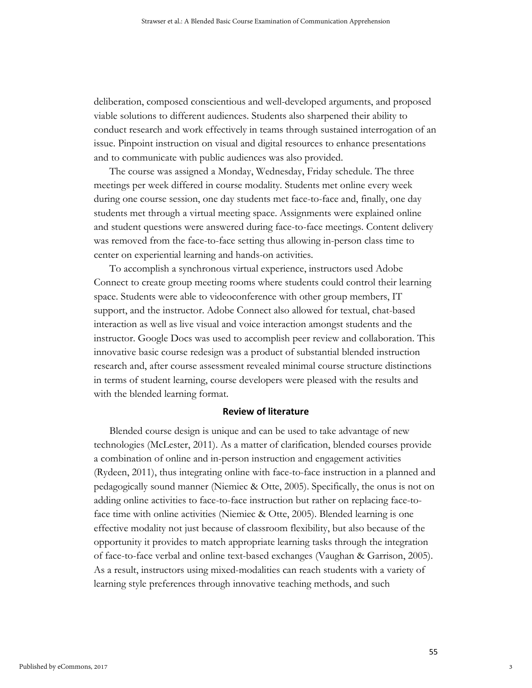deliberation, composed conscientious and well-developed arguments, and proposed viable solutions to different audiences. Students also sharpened their ability to conduct research and work effectively in teams through sustained interrogation of an issue. Pinpoint instruction on visual and digital resources to enhance presentations and to communicate with public audiences was also provided.

The course was assigned a Monday, Wednesday, Friday schedule. The three meetings per week differed in course modality. Students met online every week during one course session, one day students met face-to-face and, finally, one day students met through a virtual meeting space. Assignments were explained online and student questions were answered during face-to-face meetings. Content delivery was removed from the face-to-face setting thus allowing in-person class time to center on experiential learning and hands-on activities.

To accomplish a synchronous virtual experience, instructors used Adobe Connect to create group meeting rooms where students could control their learning space. Students were able to videoconference with other group members, IT support, and the instructor. Adobe Connect also allowed for textual, chat-based interaction as well as live visual and voice interaction amongst students and the instructor. Google Docs was used to accomplish peer review and collaboration. This innovative basic course redesign was a product of substantial blended instruction research and, after course assessment revealed minimal course structure distinctions in terms of student learning, course developers were pleased with the results and with the blended learning format.

#### **Review of literature**

Blended course design is unique and can be used to take advantage of new technologies (McLester, 2011). As a matter of clarification, blended courses provide a combination of online and in-person instruction and engagement activities (Rydeen, 2011), thus integrating online with face-to-face instruction in a planned and pedagogically sound manner (Niemiec & Otte, 2005). Specifically, the onus is not on adding online activities to face-to-face instruction but rather on replacing face-toface time with online activities (Niemiec & Otte, 2005). Blended learning is one effective modality not just because of classroom flexibility, but also because of the opportunity it provides to match appropriate learning tasks through the integration of face-to-face verbal and online text-based exchanges (Vaughan & Garrison, 2005). As a result, instructors using mixed-modalities can reach students with a variety of learning style preferences through innovative teaching methods, and such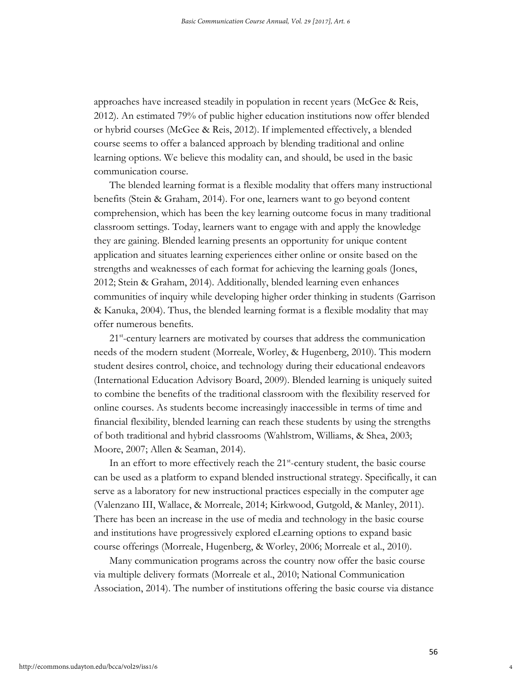approaches have increased steadily in population in recent years (McGee & Reis, 2012). An estimated 79% of public higher education institutions now offer blended or hybrid courses (McGee & Reis, 2012). If implemented effectively, a blended course seems to offer a balanced approach by blending traditional and online learning options. We believe this modality can, and should, be used in the basic communication course.

The blended learning format is a flexible modality that offers many instructional benefits (Stein & Graham, 2014). For one, learners want to go beyond content comprehension, which has been the key learning outcome focus in many traditional classroom settings. Today, learners want to engage with and apply the knowledge they are gaining. Blended learning presents an opportunity for unique content application and situates learning experiences either online or onsite based on the strengths and weaknesses of each format for achieving the learning goals (Jones, 2012; Stein & Graham, 2014). Additionally, blended learning even enhances communities of inquiry while developing higher order thinking in students (Garrison & Kanuka, 2004). Thus, the blended learning format is a flexible modality that may offer numerous benefits.

21<sup>st</sup>-century learners are motivated by courses that address the communication needs of the modern student (Morreale, Worley, & Hugenberg, 2010). This modern student desires control, choice, and technology during their educational endeavors (International Education Advisory Board, 2009). Blended learning is uniquely suited to combine the benefits of the traditional classroom with the flexibility reserved for online courses. As students become increasingly inaccessible in terms of time and financial flexibility, blended learning can reach these students by using the strengths of both traditional and hybrid classrooms (Wahlstrom, Williams, & Shea, 2003; Moore, 2007; Allen & Seaman, 2014).

In an effort to more effectively reach the 21<sup>st</sup>-century student, the basic course can be used as a platform to expand blended instructional strategy. Specifically, it can serve as a laboratory for new instructional practices especially in the computer age (Valenzano III, Wallace, & Morreale, 2014; Kirkwood, Gutgold, & Manley, 2011). There has been an increase in the use of media and technology in the basic course and institutions have progressively explored eLearning options to expand basic course offerings (Morreale, Hugenberg, & Worley, 2006; Morreale et al., 2010).

Many communication programs across the country now offer the basic course via multiple delivery formats (Morreale et al., 2010; National Communication Association, 2014). The number of institutions offering the basic course via distance

4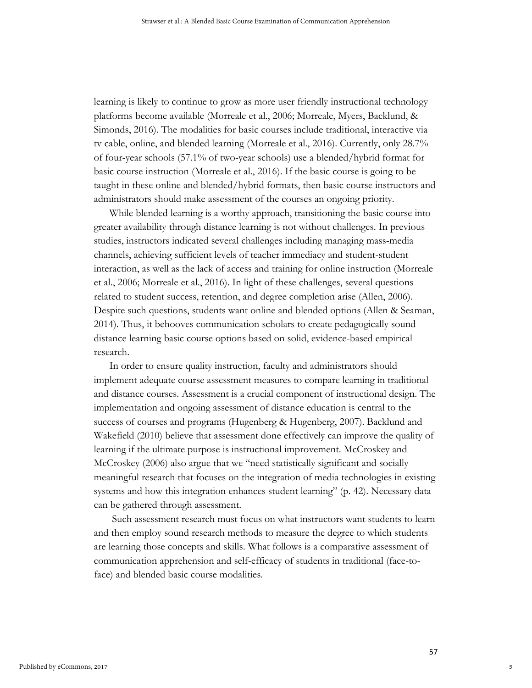learning is likely to continue to grow as more user friendly instructional technology platforms become available (Morreale et al., 2006; Morreale, Myers, Backlund, & Simonds, 2016). The modalities for basic courses include traditional, interactive via tv cable, online, and blended learning (Morreale et al., 2016). Currently, only 28.7% of four-year schools (57.1% of two-year schools) use a blended/hybrid format for basic course instruction (Morreale et al., 2016). If the basic course is going to be taught in these online and blended/hybrid formats, then basic course instructors and administrators should make assessment of the courses an ongoing priority.

While blended learning is a worthy approach, transitioning the basic course into greater availability through distance learning is not without challenges. In previous studies, instructors indicated several challenges including managing mass-media channels, achieving sufficient levels of teacher immediacy and student-student interaction, as well as the lack of access and training for online instruction (Morreale et al., 2006; Morreale et al., 2016). In light of these challenges, several questions related to student success, retention, and degree completion arise (Allen, 2006). Despite such questions, students want online and blended options (Allen & Seaman, 2014). Thus, it behooves communication scholars to create pedagogically sound distance learning basic course options based on solid, evidence-based empirical research.

In order to ensure quality instruction, faculty and administrators should implement adequate course assessment measures to compare learning in traditional and distance courses. Assessment is a crucial component of instructional design. The implementation and ongoing assessment of distance education is central to the success of courses and programs (Hugenberg & Hugenberg, 2007). Backlund and Wakefield (2010) believe that assessment done effectively can improve the quality of learning if the ultimate purpose is instructional improvement. McCroskey and McCroskey (2006) also argue that we "need statistically significant and socially meaningful research that focuses on the integration of media technologies in existing systems and how this integration enhances student learning" (p. 42). Necessary data can be gathered through assessment.

Such assessment research must focus on what instructors want students to learn and then employ sound research methods to measure the degree to which students are learning those concepts and skills. What follows is a comparative assessment of communication apprehension and self-efficacy of students in traditional (face-toface) and blended basic course modalities.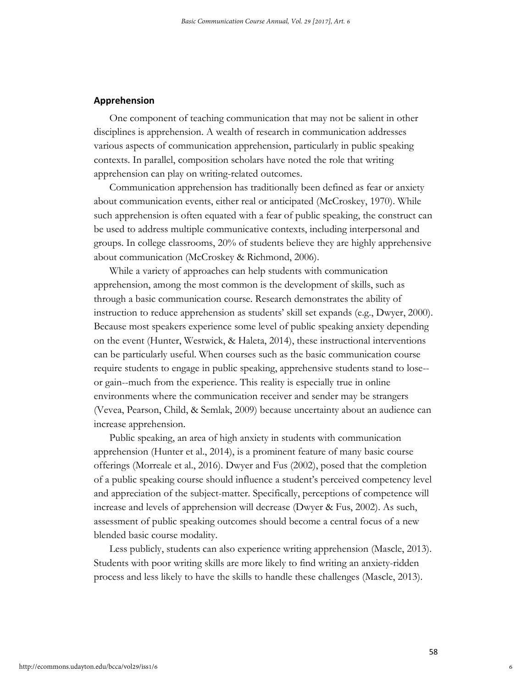## **Apprehension**

One component of teaching communication that may not be salient in other disciplines is apprehension. A wealth of research in communication addresses various aspects of communication apprehension, particularly in public speaking contexts. In parallel, composition scholars have noted the role that writing apprehension can play on writing-related outcomes.

Communication apprehension has traditionally been defined as fear or anxiety about communication events, either real or anticipated (McCroskey, 1970). While such apprehension is often equated with a fear of public speaking, the construct can be used to address multiple communicative contexts, including interpersonal and groups. In college classrooms, 20% of students believe they are highly apprehensive about communication (McCroskey & Richmond, 2006).

While a variety of approaches can help students with communication apprehension, among the most common is the development of skills, such as through a basic communication course. Research demonstrates the ability of instruction to reduce apprehension as students' skill set expands (e.g., Dwyer, 2000). Because most speakers experience some level of public speaking anxiety depending on the event (Hunter, Westwick, & Haleta, 2014), these instructional interventions can be particularly useful. When courses such as the basic communication course require students to engage in public speaking, apprehensive students stand to lose- or gain--much from the experience. This reality is especially true in online environments where the communication receiver and sender may be strangers (Vevea, Pearson, Child, & Semlak, 2009) because uncertainty about an audience can increase apprehension.

Public speaking, an area of high anxiety in students with communication apprehension (Hunter et al., 2014), is a prominent feature of many basic course offerings (Morreale et al., 2016). Dwyer and Fus (2002), posed that the completion of a public speaking course should influence a student's perceived competency level and appreciation of the subject-matter. Specifically, perceptions of competence will increase and levels of apprehension will decrease (Dwyer & Fus, 2002). As such, assessment of public speaking outcomes should become a central focus of a new blended basic course modality.

Less publicly, students can also experience writing apprehension (Mascle, 2013). Students with poor writing skills are more likely to find writing an anxiety-ridden process and less likely to have the skills to handle these challenges (Mascle, 2013).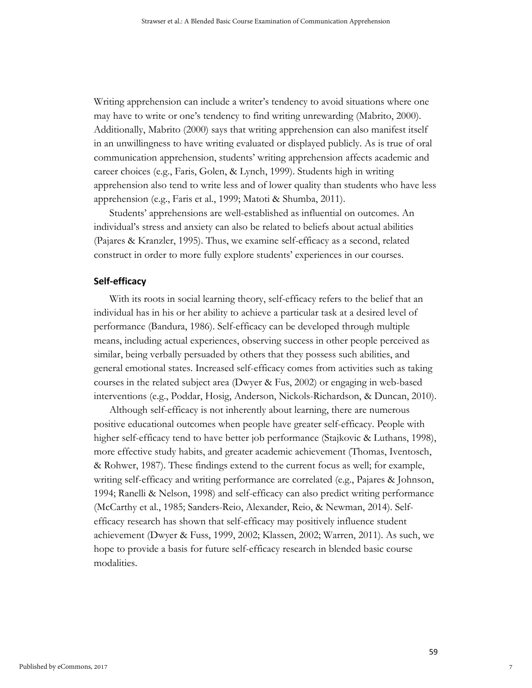Writing apprehension can include a writer's tendency to avoid situations where one may have to write or one's tendency to find writing unrewarding (Mabrito, 2000). Additionally, Mabrito (2000) says that writing apprehension can also manifest itself in an unwillingness to have writing evaluated or displayed publicly. As is true of oral communication apprehension, students' writing apprehension affects academic and career choices (e.g., Faris, Golen, & Lynch, 1999). Students high in writing apprehension also tend to write less and of lower quality than students who have less apprehension (e.g., Faris et al., 1999; Matoti & Shumba, 2011).

Students' apprehensions are well-established as influential on outcomes. An individual's stress and anxiety can also be related to beliefs about actual abilities (Pajares & Kranzler, 1995). Thus, we examine self-efficacy as a second, related construct in order to more fully explore students' experiences in our courses.

## **Self-efficacy**

With its roots in social learning theory, self-efficacy refers to the belief that an individual has in his or her ability to achieve a particular task at a desired level of performance (Bandura, 1986). Self-efficacy can be developed through multiple means, including actual experiences, observing success in other people perceived as similar, being verbally persuaded by others that they possess such abilities, and general emotional states. Increased self-efficacy comes from activities such as taking courses in the related subject area (Dwyer & Fus, 2002) or engaging in web-based interventions (e.g., Poddar, Hosig, Anderson, Nickols-Richardson, & Duncan, 2010).

Although self-efficacy is not inherently about learning, there are numerous positive educational outcomes when people have greater self-efficacy. People with higher self-efficacy tend to have better job performance (Stajkovic & Luthans, 1998), more effective study habits, and greater academic achievement (Thomas, Iventosch, & Rohwer, 1987). These findings extend to the current focus as well; for example, writing self-efficacy and writing performance are correlated (e.g., Pajares & Johnson, 1994; Ranelli & Nelson, 1998) and self-efficacy can also predict writing performance (McCarthy et al., 1985; Sanders-Reio, Alexander, Reio, & Newman, 2014). Selfefficacy research has shown that self-efficacy may positively influence student achievement (Dwyer & Fuss, 1999, 2002; Klassen, 2002; Warren, 2011). As such, we hope to provide a basis for future self-efficacy research in blended basic course modalities.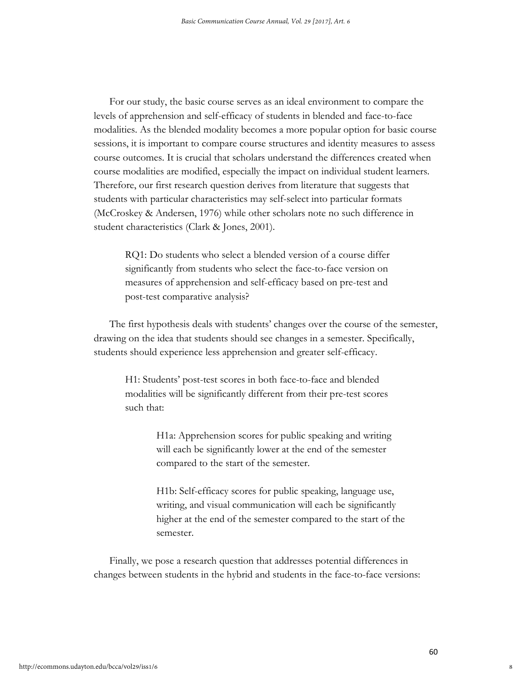For our study, the basic course serves as an ideal environment to compare the levels of apprehension and self-efficacy of students in blended and face-to-face modalities. As the blended modality becomes a more popular option for basic course sessions, it is important to compare course structures and identity measures to assess course outcomes. It is crucial that scholars understand the differences created when course modalities are modified, especially the impact on individual student learners. Therefore, our first research question derives from literature that suggests that students with particular characteristics may self-select into particular formats (McCroskey & Andersen, 1976) while other scholars note no such difference in student characteristics (Clark & Jones, 2001).

RQ1: Do students who select a blended version of a course differ significantly from students who select the face-to-face version on measures of apprehension and self-efficacy based on pre-test and post-test comparative analysis?

The first hypothesis deals with students' changes over the course of the semester, drawing on the idea that students should see changes in a semester. Specifically, students should experience less apprehension and greater self-efficacy.

H1: Students' post-test scores in both face-to-face and blended modalities will be significantly different from their pre-test scores such that:

> H1a: Apprehension scores for public speaking and writing will each be significantly lower at the end of the semester compared to the start of the semester.

H1b: Self-efficacy scores for public speaking, language use, writing, and visual communication will each be significantly higher at the end of the semester compared to the start of the semester.

Finally, we pose a research question that addresses potential differences in changes between students in the hybrid and students in the face-to-face versions: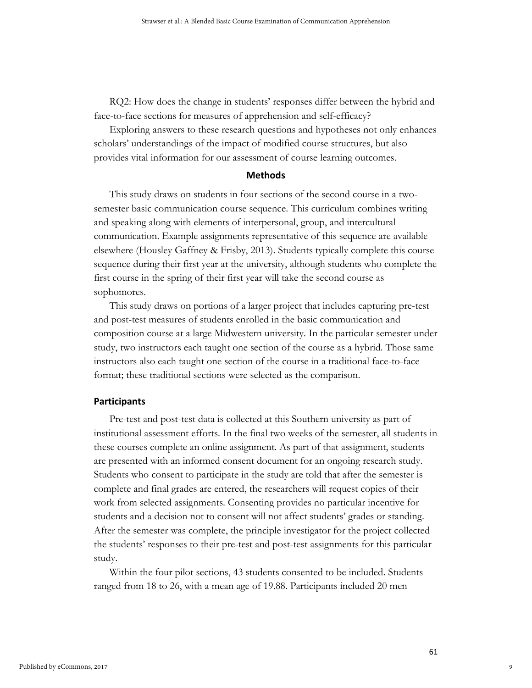RQ2: How does the change in students' responses differ between the hybrid and face-to-face sections for measures of apprehension and self-efficacy?

Exploring answers to these research questions and hypotheses not only enhances scholars' understandings of the impact of modified course structures, but also provides vital information for our assessment of course learning outcomes.

#### **Methods**

This study draws on students in four sections of the second course in a twosemester basic communication course sequence. This curriculum combines writing and speaking along with elements of interpersonal, group, and intercultural communication. Example assignments representative of this sequence are available elsewhere (Housley Gaffney & Frisby, 2013). Students typically complete this course sequence during their first year at the university, although students who complete the first course in the spring of their first year will take the second course as sophomores.

This study draws on portions of a larger project that includes capturing pre-test and post-test measures of students enrolled in the basic communication and composition course at a large Midwestern university. In the particular semester under study, two instructors each taught one section of the course as a hybrid. Those same instructors also each taught one section of the course in a traditional face-to-face format; these traditional sections were selected as the comparison.

### **Participants**

Pre-test and post-test data is collected at this Southern university as part of institutional assessment efforts. In the final two weeks of the semester, all students in these courses complete an online assignment. As part of that assignment, students are presented with an informed consent document for an ongoing research study. Students who consent to participate in the study are told that after the semester is complete and final grades are entered, the researchers will request copies of their work from selected assignments. Consenting provides no particular incentive for students and a decision not to consent will not affect students' grades or standing. After the semester was complete, the principle investigator for the project collected the students' responses to their pre-test and post-test assignments for this particular study.

Within the four pilot sections, 43 students consented to be included. Students ranged from 18 to 26, with a mean age of 19.88. Participants included 20 men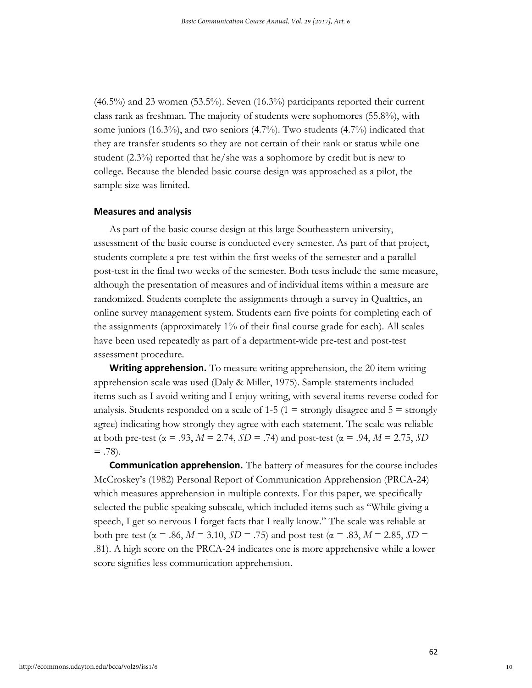(46.5%) and 23 women (53.5%). Seven (16.3%) participants reported their current class rank as freshman. The majority of students were sophomores (55.8%), with some juniors  $(16.3\%)$ , and two seniors  $(4.7\%)$ . Two students  $(4.7\%)$  indicated that they are transfer students so they are not certain of their rank or status while one student (2.3%) reported that he/she was a sophomore by credit but is new to college. Because the blended basic course design was approached as a pilot, the sample size was limited.

#### **Measures and analysis**

As part of the basic course design at this large Southeastern university, assessment of the basic course is conducted every semester. As part of that project, students complete a pre-test within the first weeks of the semester and a parallel post-test in the final two weeks of the semester. Both tests include the same measure, although the presentation of measures and of individual items within a measure are randomized. Students complete the assignments through a survey in Qualtrics, an online survey management system. Students earn five points for completing each of the assignments (approximately 1% of their final course grade for each). All scales have been used repeatedly as part of a department-wide pre-test and post-test assessment procedure.

**Writing apprehension.** To measure writing apprehension, the 20 item writing apprehension scale was used (Daly & Miller, 1975). Sample statements included items such as I avoid writing and I enjoy writing, with several items reverse coded for analysis. Students responded on a scale of 1-5 (1 = strongly disagree and  $5 =$  strongly agree) indicating how strongly they agree with each statement. The scale was reliable at both pre-test ( $\alpha = .93$ ,  $M = 2.74$ ,  $SD = .74$ ) and post-test ( $\alpha = .94$ ,  $M = 2.75$ ,  $SD$  $= .78$ ).

**Communication apprehension.** The battery of measures for the course includes McCroskey's (1982) Personal Report of Communication Apprehension (PRCA-24) which measures apprehension in multiple contexts. For this paper, we specifically selected the public speaking subscale, which included items such as "While giving a speech, I get so nervous I forget facts that I really know." The scale was reliable at both pre-test (α = .86, *M* = 3.10, *SD* = .75) and post-test (α = .83, *M* = 2.85, *SD* = .81). A high score on the PRCA-24 indicates one is more apprehensive while a lower score signifies less communication apprehension.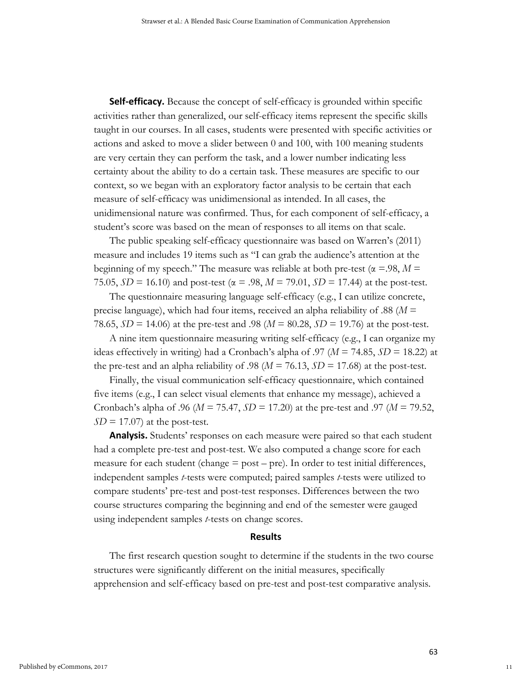**Self-efficacy.** Because the concept of self-efficacy is grounded within specific activities rather than generalized, our self-efficacy items represent the specific skills taught in our courses. In all cases, students were presented with specific activities or actions and asked to move a slider between 0 and 100, with 100 meaning students are very certain they can perform the task, and a lower number indicating less certainty about the ability to do a certain task. These measures are specific to our context, so we began with an exploratory factor analysis to be certain that each measure of self-efficacy was unidimensional as intended. In all cases, the unidimensional nature was confirmed. Thus, for each component of self-efficacy, a student's score was based on the mean of responses to all items on that scale.

The public speaking self-efficacy questionnaire was based on Warren's (2011) measure and includes 19 items such as "I can grab the audience's attention at the beginning of my speech." The measure was reliable at both pre-test ( $\alpha = 98$ ,  $M =$ 75.05,  $SD = 16.10$ ) and post-test ( $\alpha = .98$ ,  $M = 79.01$ ,  $SD = 17.44$ ) at the post-test.

The questionnaire measuring language self-efficacy (e.g., I can utilize concrete, precise language), which had four items, received an alpha reliability of .88 (*M* = 78.65, *SD* = 14.06) at the pre-test and .98 (*M* = 80.28, *SD* = 19.76) at the post-test.

A nine item questionnaire measuring writing self-efficacy (e.g., I can organize my ideas effectively in writing) had a Cronbach's alpha of .97 ( $M = 74.85$ ,  $SD = 18.22$ ) at the pre-test and an alpha reliability of .98 ( $M = 76.13$ ,  $SD = 17.68$ ) at the post-test.

Finally, the visual communication self-efficacy questionnaire, which contained five items (e.g., I can select visual elements that enhance my message), achieved a Cronbach's alpha of .96 ( $M = 75.47$ ,  $SD = 17.20$ ) at the pre-test and .97 ( $M = 79.52$ ,  $SD = 17.07$  at the post-test.

**Analysis.** Students' responses on each measure were paired so that each student had a complete pre-test and post-test. We also computed a change score for each measure for each student (change  $=$  post  $-$  pre). In order to test initial differences, independent samples *t*-tests were computed; paired samples *t*-tests were utilized to compare students' pre-test and post-test responses. Differences between the two course structures comparing the beginning and end of the semester were gauged using independent samples *t*-tests on change scores.

#### **Results**

The first research question sought to determine if the students in the two course structures were significantly different on the initial measures, specifically apprehension and self-efficacy based on pre-test and post-test comparative analysis.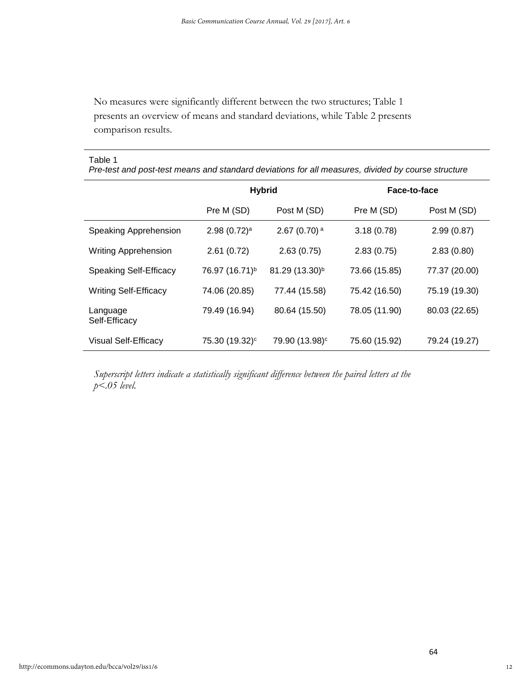No measures were significantly different between the two structures; Table 1 presents an overview of means and standard deviations, while Table 2 presents comparison results.

# Table 1

*Pre-test and post-test means and standard deviations for all measures, divided by course structure*

|                               | <b>Hybrid</b>              |                            | Face-to-face  |               |
|-------------------------------|----------------------------|----------------------------|---------------|---------------|
|                               | Pre M (SD)                 | Post M (SD)                | Pre M (SD)    | Post M (SD)   |
| Speaking Apprehension         | $2.98(0.72)^a$             | 2.67 (0.70) $^{\rm a}$     | 3.18(0.78)    | 2.99(0.87)    |
| <b>Writing Apprehension</b>   | 2.61(0.72)                 | 2.63(0.75)                 | 2.83(0.75)    | 2.83(0.80)    |
| <b>Speaking Self-Efficacy</b> | 76.97 (16.71) <sup>b</sup> | 81.29 (13.30) <sup>b</sup> | 73.66 (15.85) | 77.37 (20.00) |
| <b>Writing Self-Efficacy</b>  | 74.06 (20.85)              | 77.44 (15.58)              | 75.42 (16.50) | 75.19 (19.30) |
| Language<br>Self-Efficacy     | 79.49 (16.94)              | 80.64 (15.50)              | 78.05 (11.90) | 80.03 (22.65) |
| <b>Visual Self-Efficacy</b>   | 75.30 (19.32) <sup>c</sup> | 79.90 (13.98) <sup>c</sup> | 75.60 (15.92) | 79.24 (19.27) |

*Superscript letters indicate a statistically significant difference between the paired letters at the p<.05 level.*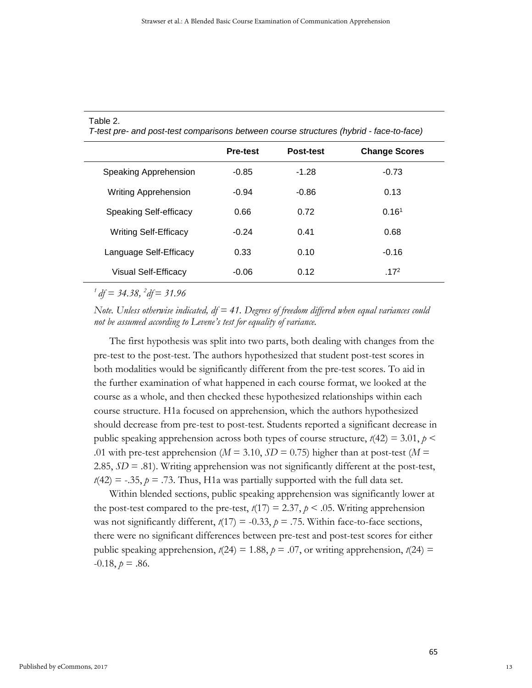| I-test pre- and post-test comparisons between course structures (hybrid - face-to-face) |                 |                  |                      |  |
|-----------------------------------------------------------------------------------------|-----------------|------------------|----------------------|--|
|                                                                                         | <b>Pre-test</b> | <b>Post-test</b> | <b>Change Scores</b> |  |
| Speaking Apprehension                                                                   | -0.85           | $-1.28$          | $-0.73$              |  |
| <b>Writing Apprehension</b>                                                             | $-0.94$         | $-0.86$          | 0.13                 |  |
| Speaking Self-efficacy                                                                  | 0.66            | 0.72             | 0.16 <sup>1</sup>    |  |
| <b>Writing Self-Efficacy</b>                                                            | $-0.24$         | 0.41             | 0.68                 |  |
| Language Self-Efficacy                                                                  | 0.33            | 0.10             | $-0.16$              |  |
| Visual Self-Efficacy                                                                    | $-0.06$         | 0.12             | .17 <sup>2</sup>     |  |

Table 2.

*T-test pre- and post-test comparisons between course structures (hybrid - face-to-face)*

*1 df = 34.38, <sup>2</sup> df= 31.96*

*Note. Unless otherwise indicated, df = 41. Degrees of freedom differed when equal variances could not be assumed according to Levene's test for equality of variance.*

The first hypothesis was split into two parts, both dealing with changes from the pre-test to the post-test. The authors hypothesized that student post-test scores in both modalities would be significantly different from the pre-test scores. To aid in the further examination of what happened in each course format, we looked at the course as a whole, and then checked these hypothesized relationships within each course structure. H1a focused on apprehension, which the authors hypothesized should decrease from pre-test to post-test. Students reported a significant decrease in public speaking apprehension across both types of course structure,  $t(42) = 3.01$ ,  $p \le$ .01 with pre-test apprehension ( $M = 3.10$ ,  $SD = 0.75$ ) higher than at post-test ( $M =$ 2.85,  $SD = .81$ ). Writing apprehension was not significantly different at the post-test,  $t(42) = -.35$ ,  $p = .73$ . Thus, H1a was partially supported with the full data set.

Within blended sections, public speaking apprehension was significantly lower at the post-test compared to the pre-test,  $t(17) = 2.37$ ,  $p < .05$ . Writing apprehension was not significantly different,  $t(17) = -0.33$ ,  $p = .75$ . Within face-to-face sections, there were no significant differences between pre-test and post-test scores for either public speaking apprehension,  $t(24) = 1.88$ ,  $p = .07$ , or writing apprehension,  $t(24) =$  $-0.18, p = .86$ .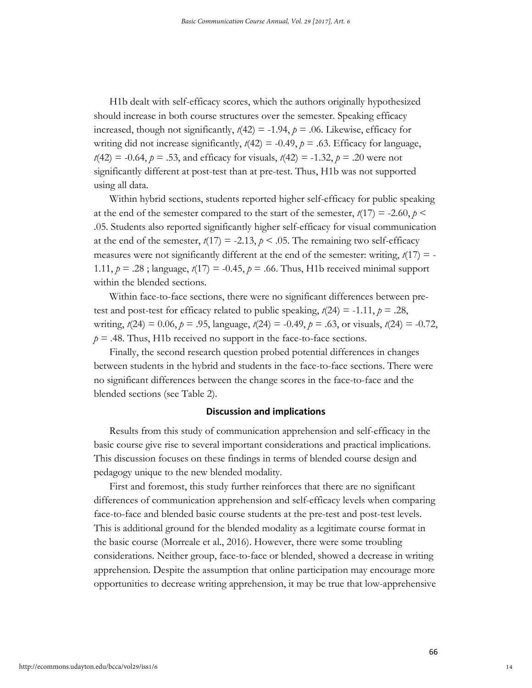H1b dealt with self-efficacy scores, which the authors originally hypothesized should increase in both course structures over the semester. Speaking efficacy increased, though not significantly,  $t(42) = -1.94$ ,  $p = .06$ . Likewise, efficacy for writing did not increase significantly,  $t(42) = -0.49$ ,  $p = .63$ . Efficacy for language,  $t(42) = -0.64$ ,  $p = .53$ , and efficacy for visuals,  $t(42) = -1.32$ ,  $p = .20$  were not significantly different at post-test than at pre-test. Thus, H1b was not supported using all data.

Within hybrid sections, students reported higher self-efficacy for public speaking at the end of the semester compared to the start of the semester,  $t(17) = -2.60, p \le$ .05. Students also reported significantly higher self-efficacy for visual communication at the end of the semester,  $t(17) = -2.13$ ,  $p < .05$ . The remaining two self-efficacy measures were not significantly different at the end of the semester: writing,  $t(17) = -$ 1.11,  $p = .28$ ; language,  $t(17) = -0.45$ ,  $p = .66$ . Thus, H1b received minimal support within the blended sections.

Within face-to-face sections, there were no significant differences between pretest and post-test for efficacy related to public speaking,  $t(24) = -1.11$ ,  $p = .28$ , writing,  $t(24) = 0.06$ ,  $p = .95$ , language,  $t(24) = -0.49$ ,  $p = .63$ , or visuals,  $t(24) = -0.72$ ,  $p = .48$ . Thus, H1b received no support in the face-to-face sections.

Finally, the second research question probed potential differences in changes between students in the hybrid and students in the face-to-face sections. There were no significant differences between the change scores in the face-to-face and the blended sections (see Table 2).

#### **Discussion and implications**

Results from this study of communication apprehension and self-efficacy in the basic course give rise to several important considerations and practical implications. This discussion focuses on these findings in terms of blended course design and pedagogy unique to the new blended modality.

First and foremost, this study further reinforces that there are no significant differences of communication apprehension and self-efficacy levels when comparing face-to-face and blended basic course students at the pre-test and post-test levels. This is additional ground for the blended modality as a legitimate course format in the basic course (Morreale et al., 2016). However, there were some troubling considerations. Neither group, face-to-face or blended, showed a decrease in writing apprehension. Despite the assumption that online participation may encourage more opportunities to decrease writing apprehension, it may be true that low-apprehensive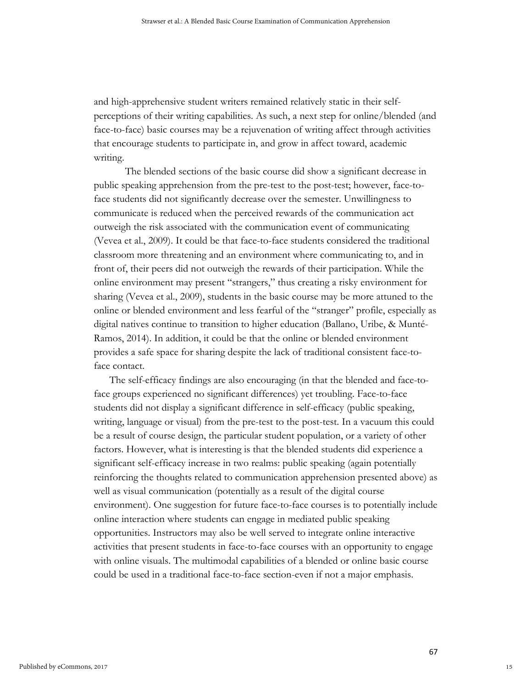and high-apprehensive student writers remained relatively static in their selfperceptions of their writing capabilities. As such, a next step for online/blended (and face-to-face) basic courses may be a rejuvenation of writing affect through activities that encourage students to participate in, and grow in affect toward, academic writing.

The blended sections of the basic course did show a significant decrease in public speaking apprehension from the pre-test to the post-test; however, face-toface students did not significantly decrease over the semester. Unwillingness to communicate is reduced when the perceived rewards of the communication act outweigh the risk associated with the communication event of communicating (Vevea et al., 2009). It could be that face-to-face students considered the traditional classroom more threatening and an environment where communicating to, and in front of, their peers did not outweigh the rewards of their participation. While the online environment may present "strangers," thus creating a risky environment for sharing (Vevea et al., 2009), students in the basic course may be more attuned to the online or blended environment and less fearful of the "stranger" profile, especially as digital natives continue to transition to higher education (Ballano, Uribe, & Munté-Ramos, 2014). In addition, it could be that the online or blended environment provides a safe space for sharing despite the lack of traditional consistent face-toface contact.

The self-efficacy findings are also encouraging (in that the blended and face-toface groups experienced no significant differences) yet troubling. Face-to-face students did not display a significant difference in self-efficacy (public speaking, writing, language or visual) from the pre-test to the post-test. In a vacuum this could be a result of course design, the particular student population, or a variety of other factors. However, what is interesting is that the blended students did experience a significant self-efficacy increase in two realms: public speaking (again potentially reinforcing the thoughts related to communication apprehension presented above) as well as visual communication (potentially as a result of the digital course environment). One suggestion for future face-to-face courses is to potentially include online interaction where students can engage in mediated public speaking opportunities. Instructors may also be well served to integrate online interactive activities that present students in face-to-face courses with an opportunity to engage with online visuals. The multimodal capabilities of a blended or online basic course could be used in a traditional face-to-face section-even if not a major emphasis.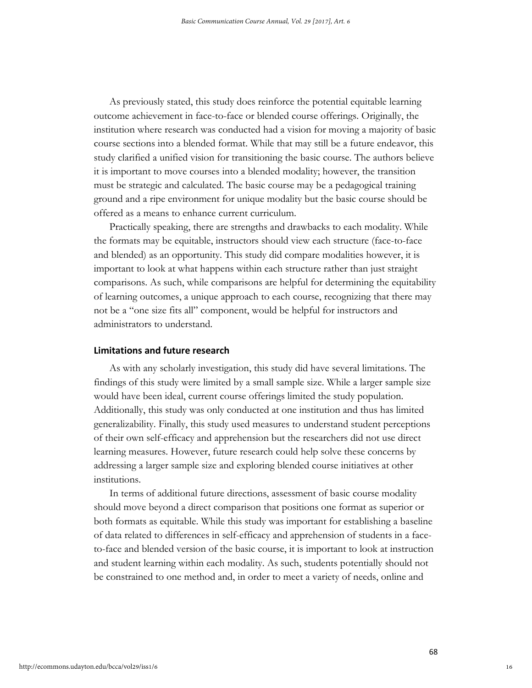As previously stated, this study does reinforce the potential equitable learning outcome achievement in face-to-face or blended course offerings. Originally, the institution where research was conducted had a vision for moving a majority of basic course sections into a blended format. While that may still be a future endeavor, this study clarified a unified vision for transitioning the basic course. The authors believe it is important to move courses into a blended modality; however, the transition must be strategic and calculated. The basic course may be a pedagogical training ground and a ripe environment for unique modality but the basic course should be offered as a means to enhance current curriculum.

Practically speaking, there are strengths and drawbacks to each modality. While the formats may be equitable, instructors should view each structure (face-to-face and blended) as an opportunity. This study did compare modalities however, it is important to look at what happens within each structure rather than just straight comparisons. As such, while comparisons are helpful for determining the equitability of learning outcomes, a unique approach to each course, recognizing that there may not be a "one size fits all" component, would be helpful for instructors and administrators to understand.

#### **Limitations and future research**

As with any scholarly investigation, this study did have several limitations. The findings of this study were limited by a small sample size. While a larger sample size would have been ideal, current course offerings limited the study population. Additionally, this study was only conducted at one institution and thus has limited generalizability. Finally, this study used measures to understand student perceptions of their own self-efficacy and apprehension but the researchers did not use direct learning measures. However, future research could help solve these concerns by addressing a larger sample size and exploring blended course initiatives at other institutions.

In terms of additional future directions, assessment of basic course modality should move beyond a direct comparison that positions one format as superior or both formats as equitable. While this study was important for establishing a baseline of data related to differences in self-efficacy and apprehension of students in a faceto-face and blended version of the basic course, it is important to look at instruction and student learning within each modality. As such, students potentially should not be constrained to one method and, in order to meet a variety of needs, online and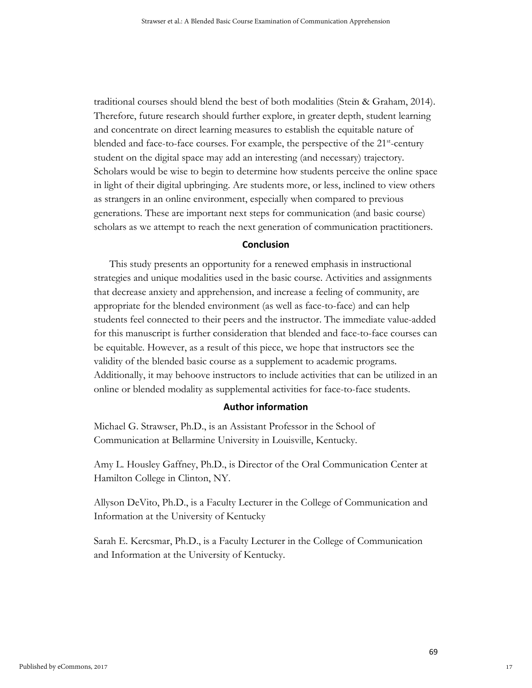traditional courses should blend the best of both modalities (Stein & Graham, 2014). Therefore, future research should further explore, in greater depth, student learning and concentrate on direct learning measures to establish the equitable nature of blended and face-to-face courses. For example, the perspective of the 21<sup>st</sup>-century student on the digital space may add an interesting (and necessary) trajectory. Scholars would be wise to begin to determine how students perceive the online space in light of their digital upbringing. Are students more, or less, inclined to view others as strangers in an online environment, especially when compared to previous generations. These are important next steps for communication (and basic course) scholars as we attempt to reach the next generation of communication practitioners.

## **Conclusion**

This study presents an opportunity for a renewed emphasis in instructional strategies and unique modalities used in the basic course. Activities and assignments that decrease anxiety and apprehension, and increase a feeling of community, are appropriate for the blended environment (as well as face-to-face) and can help students feel connected to their peers and the instructor. The immediate value-added for this manuscript is further consideration that blended and face-to-face courses can be equitable. However, as a result of this piece, we hope that instructors see the validity of the blended basic course as a supplement to academic programs. Additionally, it may behoove instructors to include activities that can be utilized in an online or blended modality as supplemental activities for face-to-face students.

## **Author information**

Michael G. Strawser, Ph.D., is an Assistant Professor in the School of Communication at Bellarmine University in Louisville, Kentucky.

Amy L. Housley Gaffney, Ph.D., is Director of the Oral Communication Center at Hamilton College in Clinton, NY.

Allyson DeVito, Ph.D., is a Faculty Lecturer in the College of Communication and Information at the University of Kentucky

Sarah E. Kercsmar, Ph.D., is a Faculty Lecturer in the College of Communication and Information at the University of Kentucky.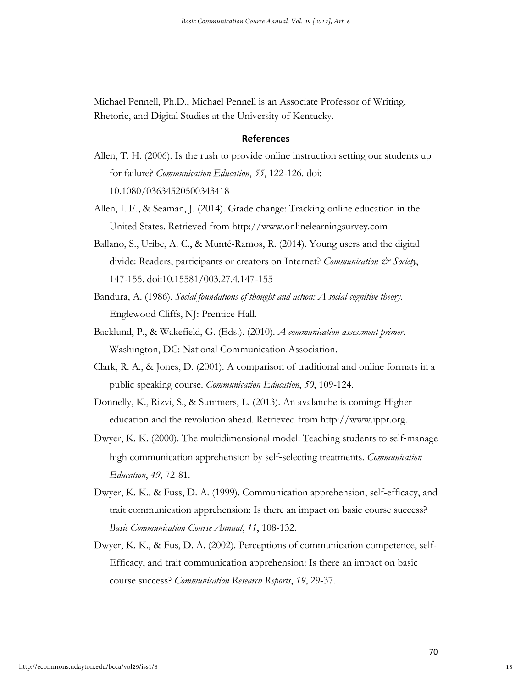Michael Pennell, Ph.D., Michael Pennell is an Associate Professor of Writing, Rhetoric, and Digital Studies at the University of Kentucky.

# **References**

- Allen, T. H. (2006). Is the rush to provide online instruction setting our students up for failure? *Communication Education*, *55*, 122-126. doi: 10.1080/03634520500343418
- Allen, I. E., & Seaman, J. (2014). Grade change: Tracking online education in the United States. Retrieved from http://www.onlinelearningsurvey.com
- Ballano, S., Uribe, A. C., & Munté-Ramos, R. (2014). Young users and the digital divide: Readers, participants or creators on Internet? *Communication & Society*, 147-155. doi:10.15581/003.27.4.147-155
- Bandura, A. (1986). *Social foundations of thought and action: A social cognitive theory*. Englewood Cliffs, NJ: Prentice Hall.
- Backlund, P., & Wakefield, G. (Eds.). (2010). *A communication assessment primer*. Washington, DC: National Communication Association.
- Clark, R. A., & Jones, D. (2001). A comparison of traditional and online formats in a public speaking course. *Communication Education*, *50*, 109-124.
- Donnelly, K., Rizvi, S., & Summers, L. (2013). An avalanche is coming: Higher education and the revolution ahead. Retrieved from http://www.ippr.org.
- Dwyer, K. K. (2000). The multidimensional model: Teaching students to self-manage high communication apprehension by self‐selecting treatments. *Communication Education*, *49*, 72-81.
- Dwyer, K. K., & Fuss, D. A. (1999). Communication apprehension, self-efficacy, and trait communication apprehension: Is there an impact on basic course success? *Basic Communication Course Annual*, *11*, 108-132.
- Dwyer, K. K., & Fus, D. A. (2002). Perceptions of communication competence, self-Efficacy, and trait communication apprehension: Is there an impact on basic course success? *Communication Research Reports*, *19*, 29-37.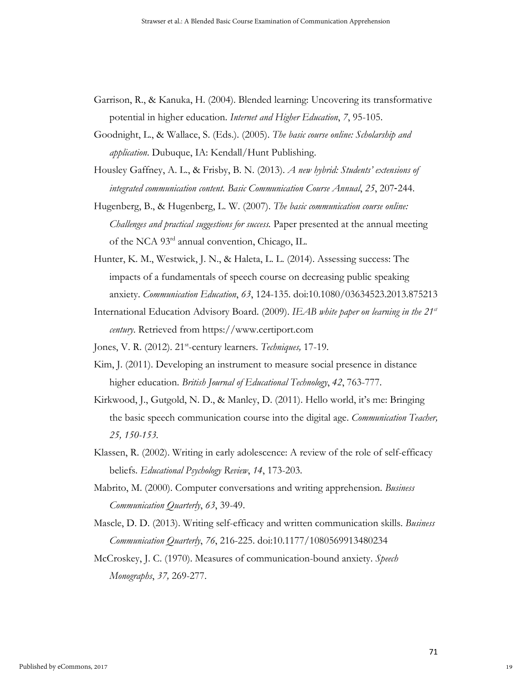- Garrison, R., & Kanuka, H. (2004). Blended learning: Uncovering its transformative potential in higher education. *Internet and Higher Education*, *7*, 95-105.
- Goodnight, L., & Wallace, S. (Eds.). (2005). *The basic course online: Scholarship and application*. Dubuque, IA: Kendall/Hunt Publishing.
- Housley Gaffney, A. L., & Frisby, B. N. (2013). *A new hybrid: Students' extensions of integrated communication content. Basic Communication Course Annual*, *25*, 207‐244.
- Hugenberg, B., & Hugenberg, L. W. (2007). *The basic communication course online: Challenges and practical suggestions for success.* Paper presented at the annual meeting of the NCA 93rd annual convention, Chicago, IL.
- Hunter, K. M., Westwick, J. N., & Haleta, L. L. (2014). Assessing success: The impacts of a fundamentals of speech course on decreasing public speaking anxiety. *Communication Education*, *63*, 124-135. doi:10.1080/03634523.2013.875213
- International Education Advisory Board. (2009). *IEAB white paper on learning in the 21st century*. Retrieved from https://www.certiport.com
- Jones, V. R. (2012). 21<sup>st</sup>-century learners. *Techniques*, 17-19.
- Kim, J. (2011). Developing an instrument to measure social presence in distance higher education. *British Journal of Educational Technology*, *42*, 763-777.
- Kirkwood, J., Gutgold, N. D., & Manley, D. (2011). Hello world, it's me: Bringing the basic speech communication course into the digital age. *Communication Teacher, 25, 150-153.*
- Klassen, R. (2002). Writing in early adolescence: A review of the role of self-efficacy beliefs. *Educational Psychology Review*, *14*, 173-203.
- Mabrito, M. (2000). Computer conversations and writing apprehension. *Business Communication Quarterly*, *63*, 39-49.
- Mascle, D. D. (2013). Writing self-efficacy and written communication skills. *Business Communication Quarterly*, *76*, 216-225. doi:10.1177/1080569913480234
- McCroskey, J. C. (1970). Measures of communication-bound anxiety. *Speech Monographs*, *37,* 269-277.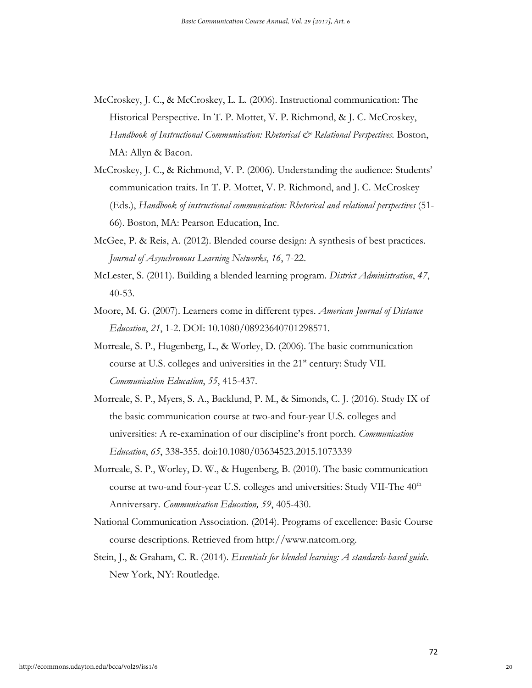- McCroskey, J. C., & McCroskey, L. L. (2006). Instructional communication: The Historical Perspective. In T. P. Mottet, V. P. Richmond, & J. C. McCroskey, *Handbook of Instructional Communication: Rhetorical & Relational Perspectives.* Boston, MA: Allyn & Bacon.
- McCroskey, J. C., & Richmond, V. P. (2006). Understanding the audience: Students' communication traits. In T. P. Mottet, V. P. Richmond, and J. C. McCroskey (Eds.), *Handbook of instructional communication: Rhetorical and relational perspectives* (51- 66). Boston, MA: Pearson Education, Inc.
- McGee, P. & Reis, A. (2012). Blended course design: A synthesis of best practices. *Journal of Asynchronous Learning Networks*, *16*, 7-22.
- McLester, S. (2011). Building a blended learning program. *District Administration*, *47*, 40-53.
- Moore, M. G. (2007). Learners come in different types. *American Journal of Distance Education*, *21*, 1-2. DOI: 10.1080/08923640701298571.
- Morreale, S. P., Hugenberg, L., & Worley, D. (2006). The basic communication course at U.S. colleges and universities in the 21<sup>st</sup> century: Study VII. *Communication Education*, *55*, 415-437.
- Morreale, S. P., Myers, S. A., Backlund, P. M., & Simonds, C. J. (2016). Study IX of the basic communication course at two-and four-year U.S. colleges and universities: A re-examination of our discipline's front porch. *Communication Education*, *65*, 338-355. doi:10.1080/03634523.2015.1073339
- Morreale, S. P., Worley, D. W., & Hugenberg, B. (2010). The basic communication course at two-and four-year U.S. colleges and universities: Study VII-The 40<sup>th</sup> Anniversary. *Communication Education, 59*, 405-430.
- National Communication Association. (2014). Programs of excellence: Basic Course course descriptions. Retrieved from http://www.natcom.org.
- Stein, J., & Graham, C. R. (2014). *Essentials for blended learning: A standards-based guide*. New York, NY: Routledge.